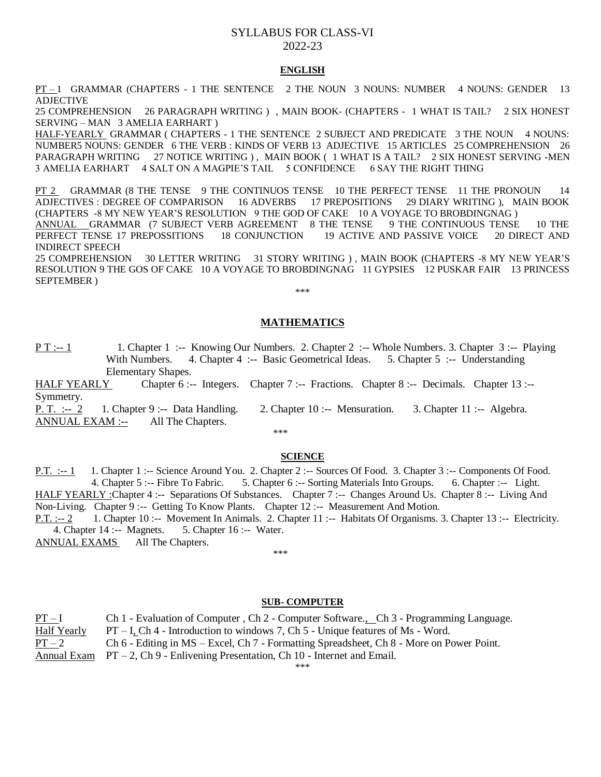# SYLLABUS FOR CLASS-VI 2022-23

# **ENGLISH**

PT-1 GRAMMAR (CHAPTERS - 1 THE SENTENCE 2 THE NOUN 3 NOUNS: NUMBER 4 NOUNS: GENDER 13 ADJECTIVE

25 COMPREHENSION 26 PARAGRAPH WRITING ) , MAIN BOOK- (CHAPTERS - 1 WHAT IS TAIL? 2 SIX HONEST SERVING – MAN 3 AMELIA EARHART )

HALF-YEARLY GRAMMAR ( CHAPTERS - 1 THE SENTENCE 2 SUBJECT AND PREDICATE 3 THE NOUN 4 NOUNS: NUMBER5 NOUNS: GENDER 6 THE VERB : KINDS OF VERB 13 ADJECTIVE 15 ARTICLES 25 COMPREHENSION 26 PARAGRAPH WRITING 27 NOTICE WRITING ) , MAIN BOOK ( 1 WHAT IS A TAIL? 2 SIX HONEST SERVING -MEN 3 AMELIA EARHART 4 SALT ON A MAGPIE'S TAIL 5 CONFIDENCE 6 SAY THE RIGHT THING

PT 2 GRAMMAR (8 THE TENSE 9 THE CONTINUOS TENSE 10 THE PERFECT TENSE 11 THE PRONOUN 14 ADJECTIVES : DEGREE OF COMPARISON 16 ADVERBS 17 PREPOSITIONS 29 DIARY WRITING ), MAIN BOOK (CHAPTERS -8 MY NEW YEAR'S RESOLUTION 9 THE GOD OF CAKE 10 A VOYAGE TO BROBDINGNAG )

ANNUAL GRAMMAR (7 SUBJECT VERB AGREEMENT 8 THE TENSE 9 THE CONTINUOUS TENSE 10 THE PERFECT TENSE 17 PREPOSSITIONS 18 CONJUNCTION 19 ACTIVE AND PASSIVE VOICE 20 DIRECT AND INDIRECT SPEECH

25 COMPREHENSION 30 LETTER WRITING 31 STORY WRITING ) , MAIN BOOK (CHAPTERS -8 MY NEW YEAR'S RESOLUTION 9 THE GOS OF CAKE 10 A VOYAGE TO BROBDINGNAG 11 GYPSIES 12 PUSKAR FAIR 13 PRINCESS SEPTEMBER ) \*\*\*

# **MATHEMATICS**

P T :-- 1 1. Chapter 1 :-- Knowing Our Numbers. 2. Chapter 2 :-- Whole Numbers. 3. Chapter 3 :-- Playing With Numbers. 4. Chapter 4 :-- Basic Geometrical Ideas. 5. Chapter 5 :-- Understanding Elementary Shapes.

HALF YEARLY Chapter 6 :-- Integers. Chapter 7 :-- Fractions. Chapter 8 :-- Decimals. Chapter 13 :--Symmetry.

P. T. :-- 2 1. Chapter 9 :-- Data Handling. 2. Chapter 10 :-- Mensuration. 3. Chapter 11 :-- Algebra. ANNUAL EXAM :-- All The Chapters.

### \*\*\*

# **SCIENCE**

P.T. :-- 1 1. Chapter 1 :-- Science Around You. 2. Chapter 2 :-- Sources Of Food. 3. Chapter 3 :-- Components Of Food. 4. Chapter 5 :-- Fibre To Fabric. 5. Chapter 6 :-- Sorting Materials Into Groups. 6. Chapter :-- Light. HALF YEARLY :Chapter 4 :-- Separations Of Substances. Chapter 7 :-- Changes Around Us. Chapter 8 :-- Living And Non-Living. Chapter 9 :-- Getting To Know Plants. Chapter 12 :-- Measurement And Motion. P.T. :-- 2 1. Chapter 10 :-- Movement In Animals. 2. Chapter 11 :-- Habitats Of Organisms. 3. Chapter 13 :-- Electricity. 4. Chapter 14 :-- Magnets. 5. Chapter 16 :-- Water. ANNUAL EXAMS All The Chapters.

\*\*\*

### **SUB- COMPUTER**

PT – I Ch 1 - Evaluation of Computer , Ch 2 - Computer Software., Ch 3 - Programming Language. Half Yearly  $PT - I$ , Ch 4 - Introduction to windows 7, Ch 5 - Unique features of Ms - Word. PT – 2 Ch 6 - Editing in MS – Excel, Ch 7 - Formatting Spreadsheet, Ch 8 - More on Power Point. Annual Exam  $PT - 2$ , Ch 9 - Enlivening Presentation, Ch 10 - Internet and Email.